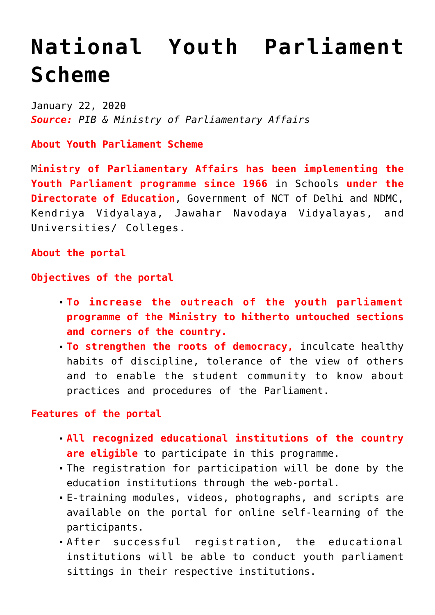## **[National Youth Parliament](https://journalsofindia.com/national-youth-parliament-scheme/) [Scheme](https://journalsofindia.com/national-youth-parliament-scheme/)**

January 22, 2020 *Source: PIB & Ministry of Parliamentary Affairs*

**About Youth Parliament Scheme**

M**inistry of Parliamentary Affairs has been implementing the Youth Parliament programme since 1966** in Schools **under the Directorate of Education**, Government of NCT of Delhi and NDMC, Kendriya Vidyalaya, Jawahar Navodaya Vidyalayas, and Universities/ Colleges.

**About the portal**

**Objectives of the portal**

- **To increase the outreach of the youth parliament programme of the Ministry to hitherto untouched sections and corners of the country.**
- **To strengthen the roots of democracy,** inculcate healthy habits of discipline, tolerance of the view of others and to enable the student community to know about practices and procedures of the Parliament.

## **Features of the portal**

- **All recognized educational institutions of the country are eligible** to participate in this programme.
- The registration for participation will be done by the education institutions through the web-portal.
- E-training modules, videos, photographs, and scripts are available on the portal for online self-learning of the participants.
- After successful registration, the educational institutions will be able to conduct youth parliament sittings in their respective institutions.